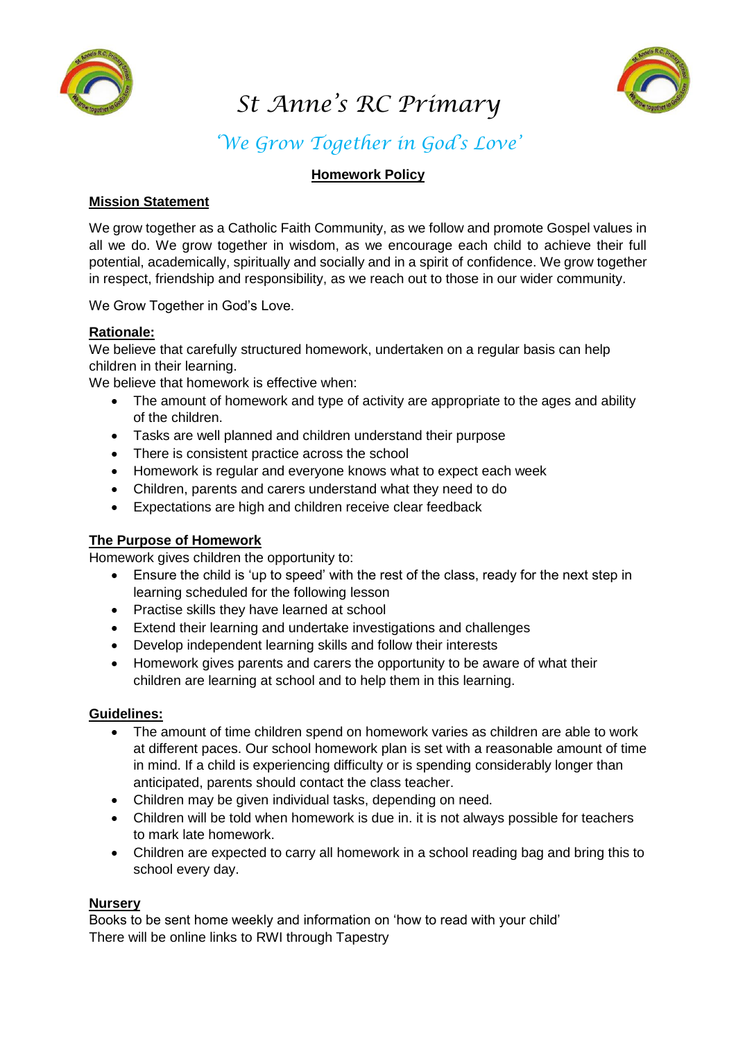

# *St Anne's RC Primary*



# *'We Grow Together in God's Love'*

# **Homework Policy**

## **Mission Statement**

We grow together as a Catholic Faith Community, as we follow and promote Gospel values in all we do. We grow together in wisdom, as we encourage each child to achieve their full potential, academically, spiritually and socially and in a spirit of confidence. We grow together in respect, friendship and responsibility, as we reach out to those in our wider community.

We Grow Together in God's Love.

#### **Rationale:**

We believe that carefully structured homework, undertaken on a regular basis can help children in their learning.

We believe that homework is effective when:

- The amount of homework and type of activity are appropriate to the ages and ability of the children.
- Tasks are well planned and children understand their purpose
- There is consistent practice across the school
- Homework is regular and everyone knows what to expect each week
- Children, parents and carers understand what they need to do
- Expectations are high and children receive clear feedback

# **The Purpose of Homework**

Homework gives children the opportunity to:

- Ensure the child is 'up to speed' with the rest of the class, ready for the next step in learning scheduled for the following lesson
- Practise skills they have learned at school
- Extend their learning and undertake investigations and challenges
- Develop independent learning skills and follow their interests
- Homework gives parents and carers the opportunity to be aware of what their children are learning at school and to help them in this learning.

#### **Guidelines:**

- The amount of time children spend on homework varies as children are able to work at different paces. Our school homework plan is set with a reasonable amount of time in mind. If a child is experiencing difficulty or is spending considerably longer than anticipated, parents should contact the class teacher.
- Children may be given individual tasks, depending on need.
- Children will be told when homework is due in. it is not always possible for teachers to mark late homework.
- Children are expected to carry all homework in a school reading bag and bring this to school every day.

#### **Nursery**

Books to be sent home weekly and information on 'how to read with your child' There will be online links to RWI through Tapestry